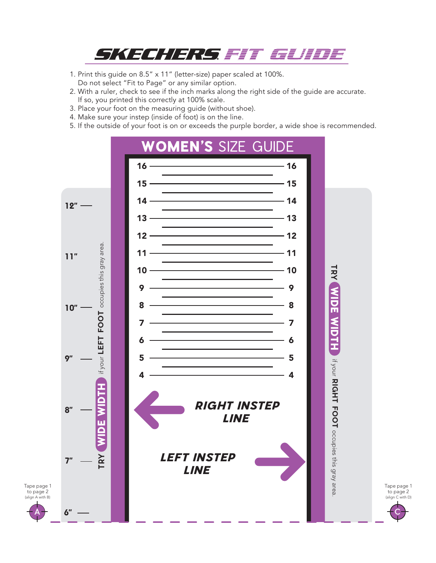

- 1. Print this guide on 8.5" x 11" (letter-size) paper scaled at 100%. Do not select "Fit to Page" or any similar option.
- 2. With a ruler, check to see if the inch marks along the right side of the guide are accurate. If so, you printed this correctly at 100% scale.
- 3. Place your foot on the measuring guide (without shoe).
- 4. Make sure your instep (inside of foot) is on the line.

A

5. If the outside of your foot is on or exceeds the purple border, a wide shoe is recommended.



Tape page 1 to page 2 (align C with D) C